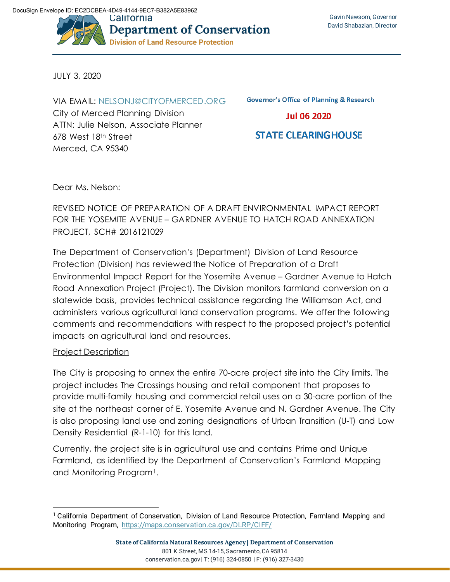

JULY 3, 2020

VIA EMAIL: [NELSONJ@CITYOFMERCED.ORG](mailto:nelsonj@cityofmerced.org) City of Merced Planning Division ATTN: Julie Nelson, Associate Planner 678 West 18th Street Merced, CA 95340

**Governor's Office of Planning & Research** 

**Jul 06 2020** 

# **STATE CLEARING HOUSE**

Dear Ms. Nelson:

REVISED NOTICE OF PREPARATION OF A DRAFT ENVIRONMENTAL IMPACT REPORT FOR THE YOSEMITE AVENUE – GARDNER AVENUE TO HATCH ROAD ANNEXATION PROJECT, SCH# 2016121029

The Department of Conservation's (Department) Division of Land Resource Protection (Division) has reviewed the Notice of Preparation of a Draft Environmental Impact Report for the Yosemite Avenue – Gardner Avenue to Hatch Road Annexation Project (Project). The Division monitors farmland conversion on a statewide basis, provides technical assistance regarding the Williamson Act, and administers various agricultural land conservation programs. We offer the following comments and recommendations with respect to the proposed project's potential impacts on agricultural land and resources.

# Project Description

The City is proposing to annex the entire 70-acre project site into the City limits. The project includes The Crossings housing and retail component that proposes to provide multi-family housing and commercial retail uses on a 30-acre portion of the site at the northeast corner of E. Yosemite Avenue and N. Gardner Avenue. The City is also proposing land use and zoning designations of Urban Transition (U-T) and Low Density Residential (R-1-10) for this land.

Currently, the project site is in agricultural use and contains Prime and Unique Farmland, as identified by the Department of Conservation's Farmland Mapping and Monitoring Program<sup>[1](#page-0-0)</sup>.

<span id="page-0-0"></span><sup>1</sup> California Department of Conservation, Division of Land Resource Protection, Farmland Mapping and Monitoring Program, <https://maps.conservation.ca.gov/DLRP/CIFF/>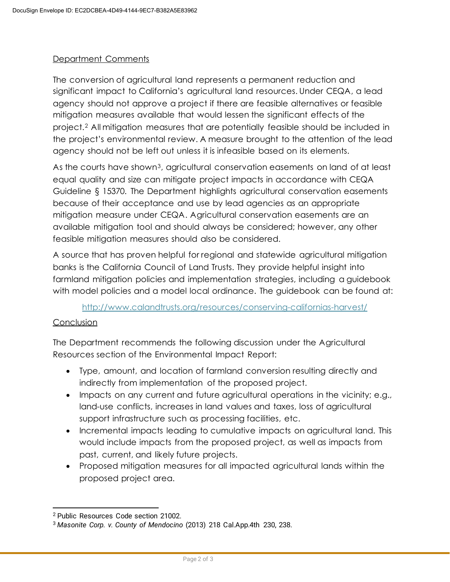# Department Comments

The conversion of agricultural land represents a permanent reduction and significant impact to California's agricultural land resources. Under CEQA, a lead agency should not approve a project if there are feasible alternatives or feasible mitigation measures available that would lessen the significant effects of the project.[2](#page-1-0) All mitigation measures that are potentially feasible should be included in the project's environmental review. A measure brought to the attention of the lead agency should not be left out unless it is infeasible based on its elements.

As the courts have shown[3](#page-1-1), agricultural conservation easements on land of at least equal quality and size can mitigate project impacts in accordance with CEQA Guideline § 15370. The Department highlights agricultural conservation easements because of their acceptance and use by lead agencies as an appropriate mitigation measure under CEQA. Agricultural conservation easements are an available mitigation tool and should always be considered; however, any other feasible mitigation measures should also be considered.

A source that has proven helpful for regional and statewide agricultural mitigation banks is the California Council of Land Trusts. They provide helpful insight into farmland mitigation policies and implementation strategies, including a guidebook with model policies and a model local ordinance. The guidebook can be found at:

# <http://www.calandtrusts.org/resources/conserving-californias-harvest/>

# Conclusion

The Department recommends the following discussion under the Agricultural Resources section of the Environmental Impact Report:

- Type, amount, and location of farmland conversion resulting directly and indirectly from implementation of the proposed project.
- Impacts on any current and future agricultural operations in the vicinity; e.g., land-use conflicts, increases in land values and taxes, loss of agricultural support infrastructure such as processing facilities, etc.
- Incremental impacts leading to cumulative impacts on agricultural land. This would include impacts from the proposed project, as well as impacts from past, current, and likely future projects.
- Proposed mitigation measures for all impacted agricultural lands within the proposed project area.

<span id="page-1-0"></span><sup>2</sup> Public Resources Code section 21002.

<span id="page-1-1"></span><sup>3</sup> *Masonite Corp. v. County of Mendocino* (2013) 218 Cal.App.4th 230, 238.